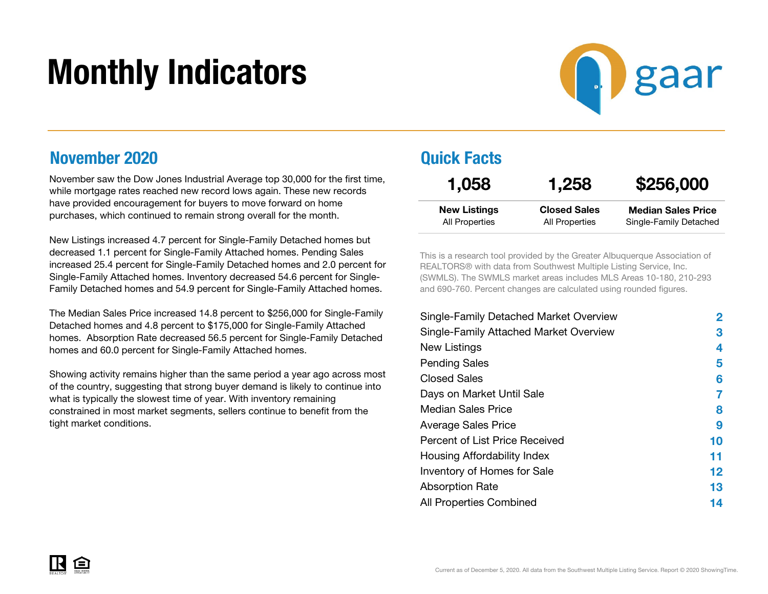# Monthly Indicators



#### November 2020

November saw the Dow Jones Industrial Average top 30,000 for the first time, while mortgage rates reached new record lows again. These new records have provided encouragement for buyers to move forward on home purchases, which continued to remain strong overall for the month.

New Listings increased 4.7 percent for Single-Family Detached homes but decreased 1.1 percent for Single-Family Attached homes. Pending Sales increased 25.4 percent for Single-Family Detached homes and 2.0 percent for Single-Family Attached homes. Inventory decreased 54.6 percent for Single-Family Detached homes and 54.9 percent for Single-Family Attached homes.

The Median Sales Price increased 14.8 percent to \$256,000 for Single-Family Detached homes and 4.8 percent to \$175,000 for Single-Family Attached homes. Absorption Rate decreased 56.5 percent for Single-Family Detached homes and 60.0 percent for Single-Family Attached homes.

Showing activity remains higher than the same period a year ago across most of the country, suggesting that strong buyer demand is likely to continue into what is typically the slowest time of year. With inventory remaining constrained in most market segments, sellers continue to benefit from the tight market conditions.

#### Quick Facts

| 1,058               | 1,258               | \$256,000                 |
|---------------------|---------------------|---------------------------|
| <b>New Listings</b> | <b>Closed Sales</b> | <b>Median Sales Price</b> |
| All Properties      | All Properties      | Single-Family Detached    |

This is a research tool provided by the Greater Albuquerque Association of REALTORS® with data from Southwest Multiple Listing Service, Inc. (SWMLS). The SWMLS market areas includes MLS Areas 10-180, 210-293 and 690-760. Percent changes are calculated using rounded figures.

| Single-Family Detached Market Overview | 2       |
|----------------------------------------|---------|
| Single-Family Attached Market Overview | 3       |
| New Listings                           | 4       |
| <b>Pending Sales</b>                   | 5       |
| <b>Closed Sales</b>                    | 6       |
| Days on Market Until Sale              | 7       |
| <b>Median Sales Price</b>              | 8       |
| <b>Average Sales Price</b>             | 9       |
| Percent of List Price Received         | 10      |
| Housing Affordability Index            | 11      |
| Inventory of Homes for Sale            | $12 \,$ |
| <b>Absorption Rate</b>                 | 13      |
| <b>All Properties Combined</b>         | 14      |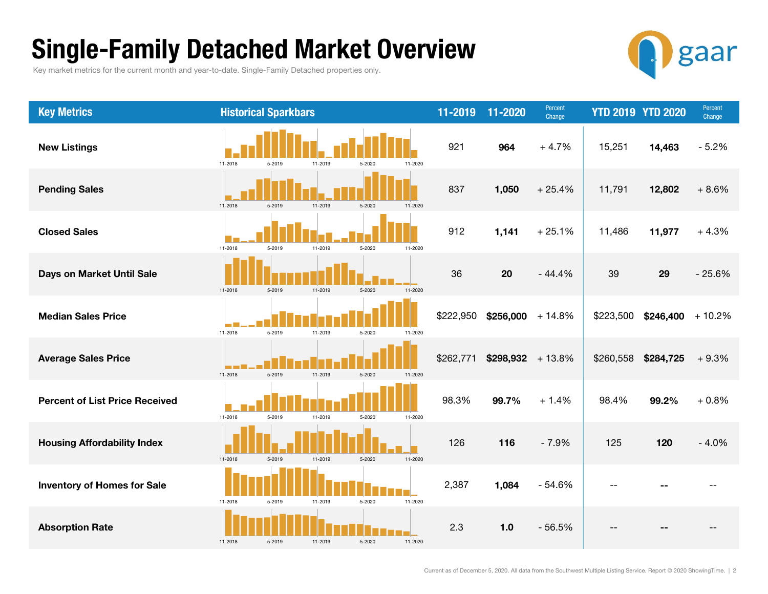### Single-Family Detached Market Overview

Key market metrics for the current month and year-to-date. Single-Family Detached properties only.



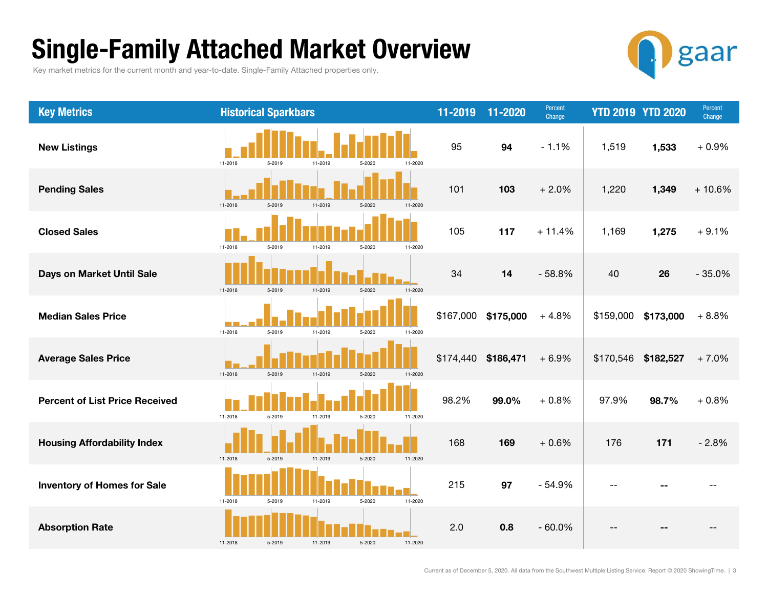### Single-Family Attached Market Overview

Key market metrics for the current month and year-to-date. Single-Family Attached properties only.



| <b>Key Metrics</b>                    | <b>Historical Sparkbars</b>                       | 11-2019   | 11-2020             | Percent<br>Change |           | <b>YTD 2019 YTD 2020</b> | Percent<br>Change |
|---------------------------------------|---------------------------------------------------|-----------|---------------------|-------------------|-----------|--------------------------|-------------------|
| <b>New Listings</b>                   | 11-2018<br>5-2019<br>11-2019<br>5-2020<br>11-2020 | 95        | 94                  | $-1.1%$           | 1,519     | 1,533                    | $+0.9%$           |
| <b>Pending Sales</b>                  | 11-2018<br>5-2019<br>11-2019<br>5-2020<br>11-2020 | 101       | 103                 | $+2.0%$           | 1,220     | 1,349                    | $+10.6%$          |
| <b>Closed Sales</b>                   | 11-2018<br>5-2019<br>11-2019<br>5-2020<br>11-2020 | 105       | 117                 | $+11.4%$          | 1,169     | 1,275                    | $+9.1%$           |
| Days on Market Until Sale             | 11-2018<br>5-2019<br>11-2019<br>5-2020<br>11-2020 | 34        | 14                  | $-58.8%$          | 40        | 26                       | $-35.0%$          |
| <b>Median Sales Price</b>             | 11-2018<br>5-2019<br>11-2019<br>5-2020<br>11-2020 | \$167,000 | \$175,000           | $+4.8%$           | \$159,000 | \$173,000                | $+8.8%$           |
| <b>Average Sales Price</b>            | 11-2018<br>5-2019<br>11-2019<br>5-2020<br>11-2020 |           | \$174,440 \$186,471 | $+6.9%$           | \$170,546 | \$182,527                | $+7.0%$           |
| <b>Percent of List Price Received</b> | 11-2018<br>5-2020<br>5-2019<br>11-2019<br>11-2020 | 98.2%     | 99.0%               | $+0.8%$           | 97.9%     | 98.7%                    | $+0.8%$           |
| <b>Housing Affordability Index</b>    | 5-2019<br>11-2019<br>5-2020<br>11-2020<br>11-2018 | 168       | 169                 | $+0.6%$           | 176       | 171                      | $-2.8%$           |
| <b>Inventory of Homes for Sale</b>    | 11-2018<br>5-2020<br>11-2020<br>5-2019<br>11-2019 | 215       | 97                  | $-54.9%$          |           |                          |                   |
| <b>Absorption Rate</b>                | 11-2018<br>11-2019<br>5-2020<br>11-2020<br>5-2019 | 2.0       | 0.8                 | $-60.0%$          |           |                          |                   |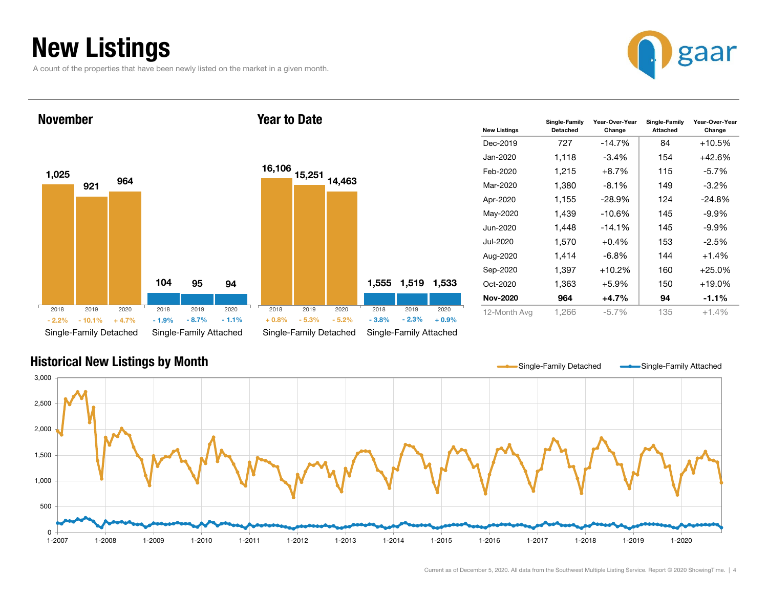### New Listings

A count of the properties that have been newly listed on the market in a given month.



#### 1,025 1049219596494Single-Family Detached Single-Family Attached November16,106 15,251 14,463 1,555 1,519 1,533 Single-Family Detached Single-Family Attached Year to Date2018 2019 2020- 10.1% + 4.7% $\%$  - 1.9% - 8.7% - 1.1% + 0.8% - 5.3% - 5.2% - 3.8% - 2.3% + 0.9% 2018 2019 2020 2018 2019 2020 2018 2019 2020 - 2.2% $\%$  - 10.1% + 4.7% - 1.9% - 8.7% - 1.1% + 0.8% - 5.3% - 5.2% - 3.8%

| <b>New Listings</b> | Single-Family<br>Detached | Year-Over-Year<br>Change | Single-Family<br>Attached | Year-Over-Year<br>Change |
|---------------------|---------------------------|--------------------------|---------------------------|--------------------------|
| Dec-2019            | 727                       | $-14.7%$                 | 84                        | $+10.5\%$                |
| Jan-2020.           | 1,118                     | $-3.4\%$                 | 154                       | $+42.6%$                 |
| Feb-2020            | 1,215                     | $+8.7\%$                 | 115                       | -5.7%                    |
| Mar-2020            | 1,380                     | $-8.1\%$                 | 149                       | $-3.2\%$                 |
| Apr-2020            | 1.155                     | $-28.9%$                 | 124                       | $-24.8%$                 |
| May-2020            | 1,439                     | $-10.6%$                 | 145                       | $-9.9\%$                 |
| Jun-2020            | 1,448                     | $-14.1%$                 | 145                       | $-9.9\%$                 |
| Jul-2020            | 1.570                     | $+0.4%$                  | 153                       | $-2.5%$                  |
| Aug-2020            | 1,414                     | $-6.8\%$                 | 144                       | $+1.4%$                  |
| Sep-2020            | 1,397                     | $+10.2%$                 | 160                       | $+25.0%$                 |
| Oct-2020            | 1,363                     | $+5.9%$                  | 150                       | $+19.0\%$                |
| <b>Nov-2020</b>     | 964                       | $+4.7%$                  | 94                        | $-1.1\%$                 |
| 12-Month Avg        | 1,266                     | $-5.7\%$                 | 135                       | $+1.4%$                  |

#### Historical New Listings by Month

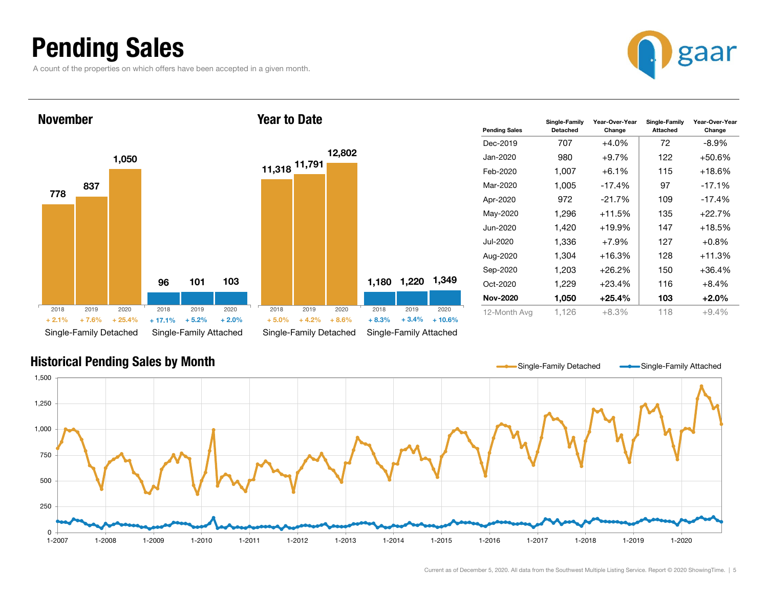### Pending Sales

A count of the properties on which offers have been accepted in a given month.





| <b>Pending Sales</b> | Single-Family<br>Detached | Year-Over-Year<br>Change | Single-Family<br>Attached | Year-Over-Year<br>Change |
|----------------------|---------------------------|--------------------------|---------------------------|--------------------------|
| Dec-2019             | 707                       | $+4.0\%$                 | 72                        | -8.9%                    |
| Jan-2020             | 980                       | $+9.7\%$                 | 122                       | +50.6%                   |
| Feb-2020             | 1,007                     | $+6.1%$                  | 115                       | +18.6%                   |
| Mar-2020             | 1.005                     | $-17.4%$                 | 97                        | $-17.1%$                 |
| Apr-2020             | 972                       | $-21.7%$                 | 109                       | $-17.4%$                 |
| May-2020             | 1,296                     | +11.5%                   | 135                       | $+22.7%$                 |
| Jun-2020             | 1.420                     | $+19.9%$                 | 147                       | +18.5%                   |
| Jul-2020             | 1.336                     | $+7.9%$                  | 127                       | $+0.8%$                  |
| Aug-2020             | 1,304                     | $+16.3%$                 | 128                       | +11.3%                   |
| Sep-2020             | 1,203                     | $+26.2%$                 | 150                       | $+36.4%$                 |
| $Oct-2020$           | 1,229                     | $+23.4%$                 | 116                       | $+8.4%$                  |
| <b>Nov-2020</b>      | 1,050                     | +25.4%                   | 103                       | $+2.0\%$                 |
| 12-Month Avg         | 1,126                     | $+8.3%$                  | 118                       | $+9.4%$                  |

#### Historical Pending Sales by Month

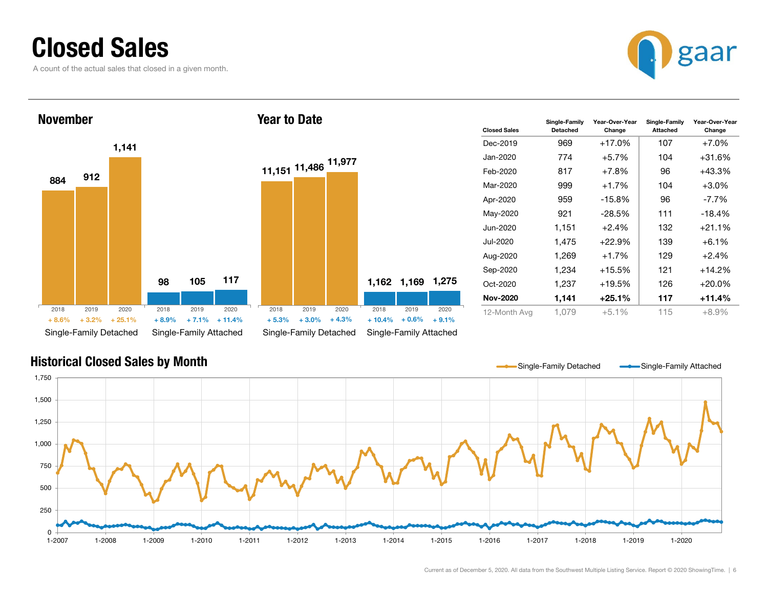### Closed Sales

A count of the actual sales that closed in a given month.





| <b>Closed Sales</b> | Single-Family<br>Detached | Year-Over-Year<br>Change | Single-Family<br>Attached | Year-Over-Year<br>Change |
|---------------------|---------------------------|--------------------------|---------------------------|--------------------------|
| Dec-2019            | 969                       | $+17.0%$                 | 107                       | $+7.0%$                  |
| .lan-2020           | 774                       | $+5.7%$                  | 104                       | $+31.6%$                 |
| Feb-2020            | 817                       | $+7.8\%$                 | 96                        | $+43.3%$                 |
| Mar-2020            | 999                       | $+1.7%$                  | 104                       | $+3.0%$                  |
| Apr-2020            | 959                       | $-15.8%$                 | 96                        | $-7.7\%$                 |
| May-2020            | 921                       | $-28.5%$                 | 111                       | $-18.4%$                 |
| Jun-2020            | 1,151                     | $+2.4%$                  | 132                       | $+21.1%$                 |
| Jul-2020            | 1,475                     | $+22.9%$                 | 139                       | $+6.1%$                  |
| Aug-2020            | 1,269                     | $+1.7%$                  | 129                       | $+2.4%$                  |
| Sep-2020            | 1,234                     | $+15.5\%$                | 121                       | $+14.2%$                 |
| $Oct-2020$          | 1,237                     | +19.5%                   | 126                       | $+20.0\%$                |
| <b>Nov-2020</b>     | 1,141                     | $+25.1%$                 | 117                       | $+11.4%$                 |
| 12-Month Avg        | 1.079                     | $+5.1%$                  | 115                       | $+8.9%$                  |

#### Historical Closed Sales by Month

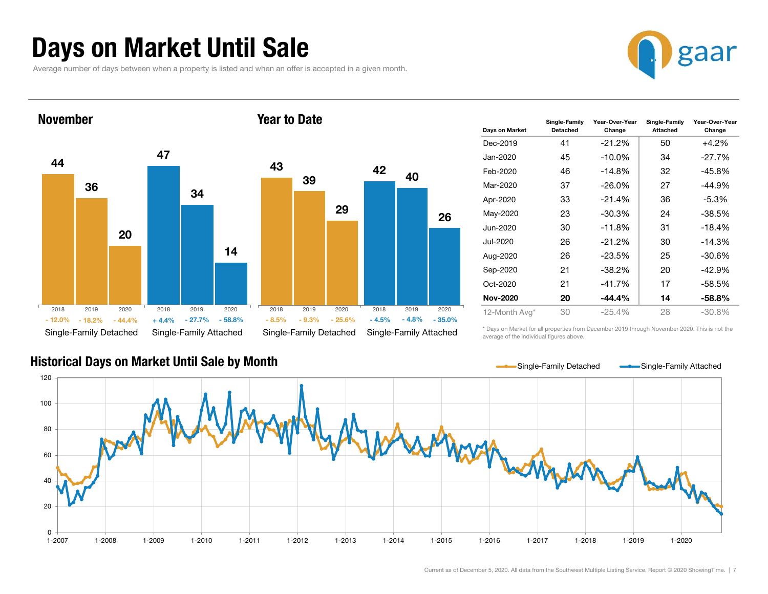### Days on Market Until Sale

Average number of days between when a property is listed and when an offer is accepted in a given month.





| <b>Davs on Market</b> | Single-Family<br><b>Detached</b> | Year-Over-Year<br>Change | Single-Family<br>Attached | Year-Over-Year<br>Change |
|-----------------------|----------------------------------|--------------------------|---------------------------|--------------------------|
| Dec-2019              | 41                               | $-21.2\%$                | 50                        | $+4.2%$                  |
| Jan-2020              | 45                               | $-10.0\%$                | 34                        | $-27.7%$                 |
| Feb-2020              | 46                               | $-14.8\%$                | 32                        | $-45.8%$                 |
| Mar-2020              | 37                               | $-26.0\%$                | 27                        | $-44.9%$                 |
| Apr-2020              | 33                               | $-21.4%$                 | 36                        | $-5.3\%$                 |
| May-2020              | 23                               | -30.3%                   | 24                        | $-38.5%$                 |
| Jun-2020              | 30                               | $-11.8%$                 | 31                        | $-18.4%$                 |
| Jul-2020              | 26                               | $-21.2\%$                | 30                        | $-14.3%$                 |
| Aug-2020              | 26                               | $-23.5%$                 | 25                        | $-30.6%$                 |
| Sep-2020              | 21                               | -38.2%                   | 20                        | $-42.9%$                 |
| Oct-2020              | 21                               | $-41.7%$                 | 17                        | $-58.5%$                 |
| <b>Nov-2020</b>       | 20                               | $-44.4\%$                | 14                        | -58.8%                   |
| 12-Month Avg*         | 30                               | $-25.4%$                 | 28                        | $-30.8%$                 |

average of the individual figures above.

\* Days on Market for all properties from December 2019 through November 2020. This is not the



#### Historical Days on Market Until Sale by Month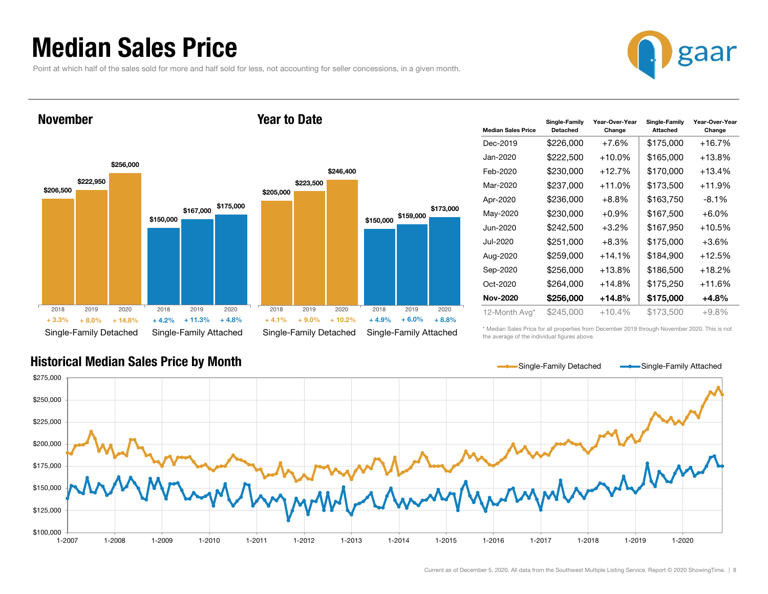### Median Sales Price

November

Point at which half of the sales sold for more and half sold for less, not accounting for seller concessions, in a given month.



Year to Date



| <b>Median Sales Price</b> | Single-Family<br><b>Detached</b> | Year-Over-Year<br>Change | Single-Family<br>Attached | Year-Over-Year<br>Change |
|---------------------------|----------------------------------|--------------------------|---------------------------|--------------------------|
| Dec-2019                  | \$226,000                        | $+7.6%$                  | \$175,000                 | +16.7%                   |
| Jan-2020                  | \$222,500                        | $+10.0\%$                | \$165,000                 | +13.8%                   |
| Feb-2020                  | \$230,000                        | +12.7%                   | \$170,000                 | +13.4%                   |
| Mar-2020                  | \$237,000                        | $+11.0%$                 | \$173,500                 | +11.9%                   |
| Apr-2020                  | \$236.000                        | $+8.8\%$                 | \$163,750                 | -8.1%                    |
| May-2020                  | \$230,000                        | $+0.9%$                  | \$167,500                 | $+6.0\%$                 |
| Jun-2020                  | \$242,500                        | $+3.2\%$                 | \$167,950                 | +10.5%                   |
| Jul-2020                  | \$251,000                        | $+8.3%$                  | \$175,000                 | $+3.6\%$                 |
| Aug-2020                  | \$259,000                        | $+14.1%$                 | \$184,900                 | +12.5%                   |
| Sep-2020                  | \$256,000                        | $+13.8%$                 | \$186,500                 | +18.2%                   |
| $Oct-2020$                | \$264,000                        | $+14.8%$                 | \$175,250                 | +11.6%                   |
| <b>Nov-2020</b>           | \$256,000                        | +14.8%                   | \$175,000                 | +4.8%                    |
| 12-Month Avg*             | \$245,000                        | $+10.4%$                 | \$173,500                 | $+9.8\%$                 |

\* Median Sales Price for all properties from December 2019 through November 2020. This is not the average of the individual figures above.



#### Historical Median Sales Price by Month

Current as of December 5, 2020. All data from the Southwest Multiple Listing Service. Report © 2020 ShowingTime. | 8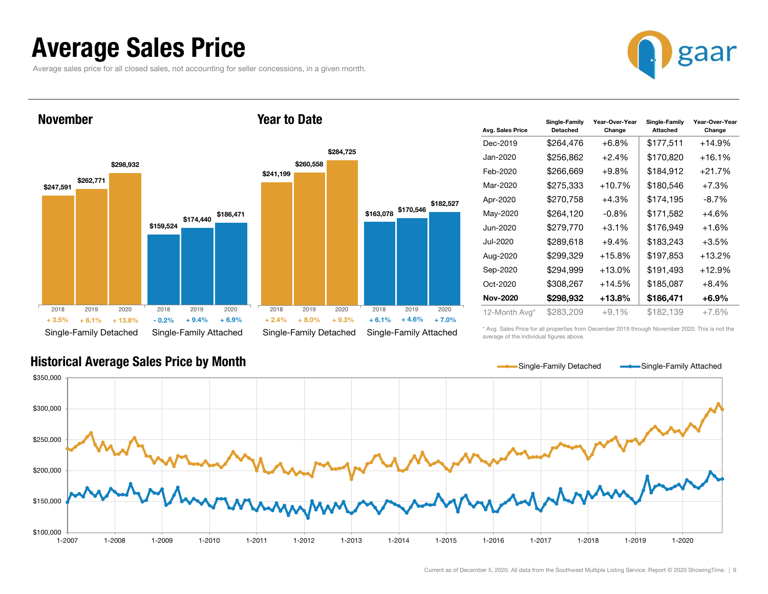### Average Sales Price

Average sales price for all closed sales, not accounting for seller concessions, in a given month.



\$247,591 \$159,524 \$262,771 \$174,440 \$186,471 \$298,932 Single-Family Detached Single-Family Attached November\$241,199 \$163,078 \$170,546 \$260,558 \$284,725 \$182,527 Single-Family Detached Single-Family Attached Year to Date2018 2019 2020 $+ 6.1%$  $\%$  + 6.1% + 13.8% - 0.2%  $\%$  - 0.2% + 9.4% + 6.9% + 2.4% + 8.0% + 9.3% + 6.1% + 4.6% + 7.0% 2018 2019 2020 2018 2019 2020 2018 2019 2020 + 3.5% $+ 0.2\%$   $+ 9.4\%$   $+ 6.9\%$   $+ 2.4\%$   $+ 8.0\%$   $+ 9.3\%$   $+ 6.1\%$ 

| Avg. Sales Price | Single-Family<br>Detached | Year-Over-Year<br>Change | Single-Family<br>Attached | Year-Over-Year<br>Change |
|------------------|---------------------------|--------------------------|---------------------------|--------------------------|
| Dec-2019         | \$264,476                 | $+6.8%$                  | \$177,511                 | $+14.9%$                 |
| Jan-2020         | \$256,862                 | $+2.4%$                  | \$170,820                 | $+16.1\%$                |
| Feb-2020         | \$266,669                 | $+9.8%$                  | \$184,912                 | $+21.7%$                 |
| Mar-2020         | \$275,333                 | $+10.7%$                 | \$180,546                 | $+7.3%$                  |
| Apr-2020         | \$270,758                 | $+4.3%$                  | \$174,195                 | $-8.7\%$                 |
| May-2020         | \$264,120                 | $-0.8%$                  | \$171,582                 | $+4.6%$                  |
| Jun-2020         | \$279,770                 | $+3.1%$                  | \$176,949                 | $+1.6%$                  |
| Jul-2020         | \$289,618                 | $+9.4%$                  | \$183,243                 | $+3.5%$                  |
| Aug-2020         | \$299,329                 | $+15.8%$                 | \$197,853                 | $+13.2%$                 |
| Sep-2020         | \$294,999                 | $+13.0\%$                | \$191,493                 | $+12.9%$                 |
| Oct-2020         | \$308,267                 | $+14.5%$                 | \$185,087                 | $+8.4%$                  |
| <b>Nov-2020</b>  | \$298,932                 | +13.8%                   | \$186,471                 | +6.9%                    |
| 12-Month Avg*    | \$283,209                 | $+9.1%$                  | \$182,139                 | $+7.6%$                  |

#### Historical Average Sales Price by Month

\* Avg. Sales Price for all properties from December 2019 through November 2020. This is not the average of the individual figures above.

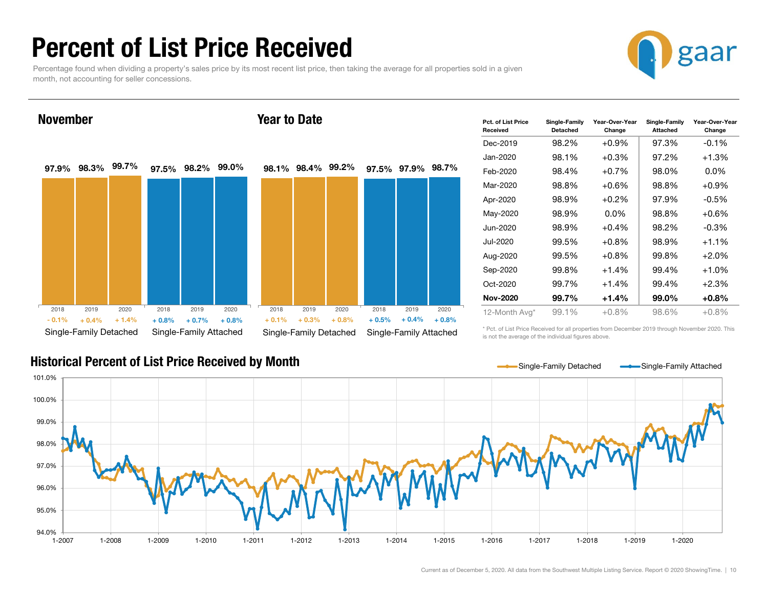### Percent of List Price Received

Percentage found when dividing a property's sales price by its most recent list price, then taking the average for all properties sold in a given month, not accounting for seller concessions.



97.9% 98.3% 99.7% 97.5% 98.2% 99.0% Single-Family Detached Single-Family Attached November98.1% 98.4% 99.2% 97.5% 97.9% 98.7% Single-Family Detached Single-Family Attached Year to Date2018 2019 2020 $\%$  + 0.4% + 1.4% + 0.8%  $\%$  + 1.4% + 0.8% + 0.7% + 0.8% + 0.1% + 0.3% + 0.8% + 0.5% + 0.4% + 0.8% 2018 2019 2020 2018 2019 2020 2018 2019 2020 - 0.1% $+ 0.8\% + 0.7\% + 0.8\% + 0.1\% + 0.3\% + 0.8\% + 0.5\%$ 

| Pct. of List Price<br>Received | Single-Family<br><b>Detached</b> | Year-Over-Year<br>Change | Single-Family<br>Attached | Year-Over-Year<br>Change |
|--------------------------------|----------------------------------|--------------------------|---------------------------|--------------------------|
| Dec-2019                       | 98.2%                            | $+0.9\%$                 | 97.3%                     | $-0.1%$                  |
| Jan-2020                       | 98.1%                            | $+0.3\%$                 | 97.2%                     | $+1.3%$                  |
| Feb-2020                       | 98.4%                            | $+0.7%$                  | 98.0%                     | $0.0\%$                  |
| Mar-2020                       | 98.8%                            | $+0.6\%$                 | 98.8%                     | $+0.9%$                  |
| Apr-2020                       | 98.9%                            | $+0.2\%$                 | 97.9%                     | $-0.5%$                  |
| May-2020                       | 98.9%                            | $0.0\%$                  | 98.8%                     | $+0.6%$                  |
| Jun-2020                       | 98.9%                            | $+0.4%$                  | 98.2%                     | $-0.3%$                  |
| Jul-2020                       | 99.5%                            | $+0.8%$                  | 98.9%                     | $+1.1\%$                 |
| Aug-2020                       | 99.5%                            | $+0.8\%$                 | 99.8%                     | $+2.0%$                  |
| Sep-2020                       | 99.8%                            | $+1.4%$                  | 99.4%                     | $+1.0%$                  |
| Oct-2020                       | 99.7%                            | $+1.4%$                  | 99.4%                     | $+2.3%$                  |
| <b>Nov-2020</b>                | 99.7%                            | $+1.4%$                  | 99.0%                     | $+0.8%$                  |
| 12-Month Avg*                  | 99.1%                            | $+0.8\%$                 | 98.6%                     | $+0.8\%$                 |

Historical Percent of List Price Received by Month

\* Pct. of List Price Received for all properties from December 2019 through November 2020. This is not the average of the individual figures above.

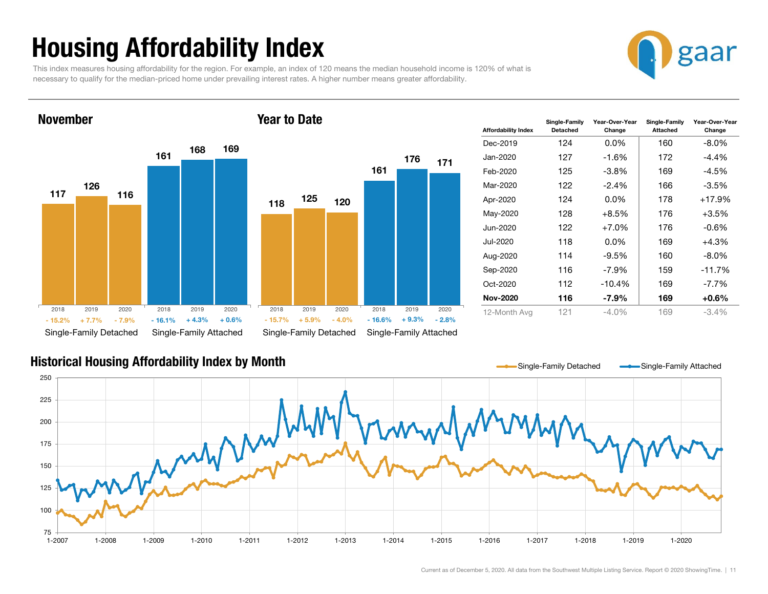## Housing Affordability Index

This index measures housing affordability for the region. For example, an index of 120 means the median household income is 120% of what is necessary to qualify for the median-priced home under prevailing interest rates. A higher number means greater affordability.



November

#### Year to Date



| <b>Affordability Index</b> | Single-Family<br>Detached | Year-Over-Year<br>Change | Single-Family<br><b>Attached</b> | Year-Over-Year<br>Change |
|----------------------------|---------------------------|--------------------------|----------------------------------|--------------------------|
| Dec-2019                   | 124                       | $0.0\%$                  | 160                              | $-8.0\%$                 |
| Jan-2020                   | 127                       | -1.6%                    | 172                              | -4.4%                    |
| Feb-2020                   | 125                       | -3.8%                    | 169                              | -4.5%                    |
| Mar-2020                   | 122                       | $-2.4%$                  | 166                              | $-3.5\%$                 |
| Apr-2020                   | 124                       | $0.0\%$                  | 178                              | $+17.9%$                 |
| May-2020                   | 128                       | $+8.5%$                  | 176                              | $+3.5%$                  |
| Jun-2020                   | 122                       | $+7.0\%$                 | 176                              | -0.6%                    |
| Jul-2020                   | 118                       | $0.0\%$                  | 169                              | $+4.3%$                  |
| Aug-2020                   | 114                       | $-9.5%$                  | 160                              | $-8.0\%$                 |
| Sep-2020                   | 116                       | $-7.9\%$                 | 159                              | $-11.7%$                 |
| Oct-2020                   | 112                       | $-10.4%$                 | 169                              | $-7.7\%$                 |
| <b>Nov-2020</b>            | 116                       | -7.9%                    | 169                              | $+0.6\%$                 |
| 12-Month Avg               | 121                       | $-4.0\%$                 | 169                              | $-3.4%$                  |

#### Historical Housing Affordability Index by Month

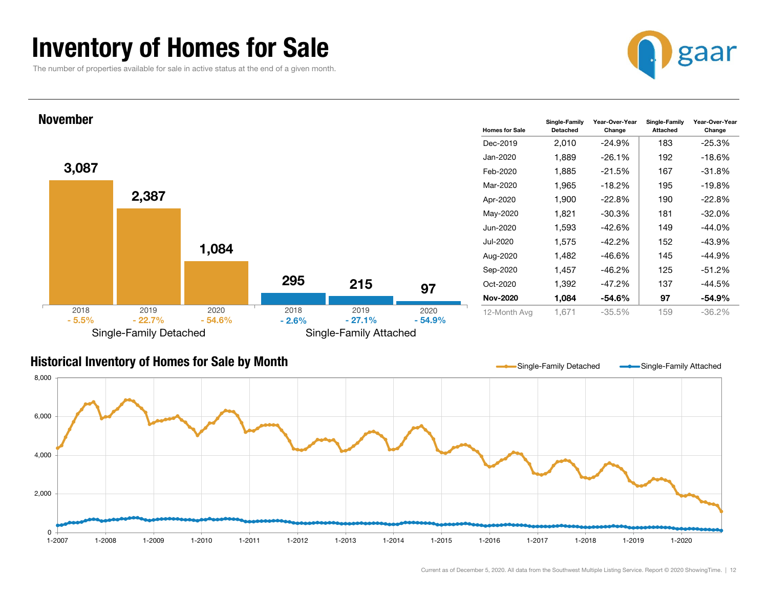### Inventory of Homes for Sale

The number of properties available for sale in active status at the end of a given month.





#### Historical Inventory of Homes for Sale by Month



Single-Family Detached **Single-Family Detached**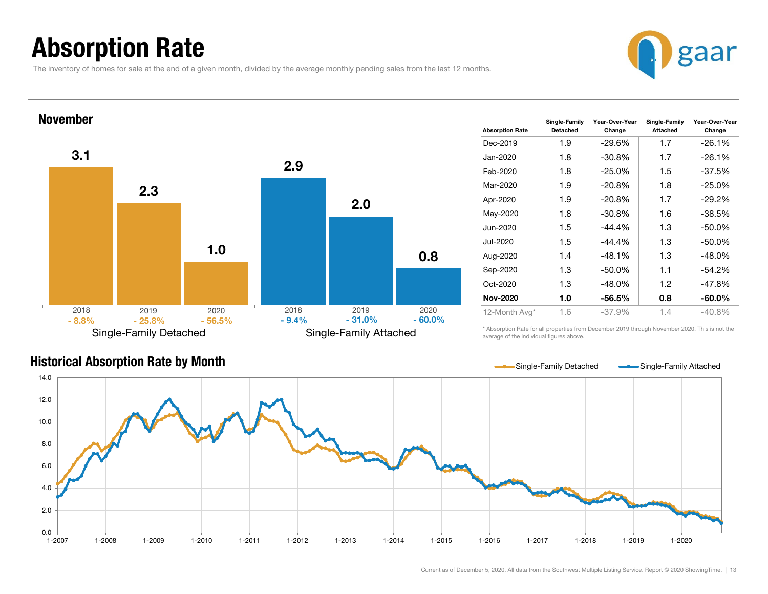### Absorption Rate

The inventory of homes for sale at the end of a given month, divided by the average monthly pending sales from the last 12 months.





| <b>Absorption Rate</b> | Single-Family<br><b>Detached</b> | Year-Over-Year<br>Change | Single-Family<br>Attached | Year-Over-Year<br>Change |
|------------------------|----------------------------------|--------------------------|---------------------------|--------------------------|
| Dec-2019               | 1.9                              | $-29.6\%$                | 1.7                       | $-26.1%$                 |
| Jan-2020               | 1.8                              | $-30.8\%$                | 1.7                       | $-26.1%$                 |
| Feb-2020               | 1.8                              | $-25.0\%$                | 1.5                       | $-37.5%$                 |
| Mar-2020               | 1.9                              | $-20.8\%$                | 1.8                       | $-25.0%$                 |
| Apr-2020               | 1.9                              | $-20.8\%$                | 1.7                       | $-29.2\%$                |
| May-2020               | 1.8                              | $-30.8%$                 | 1.6                       | $-38.5%$                 |
| Jun-2020               | 1.5                              | -44.4%                   | 1.3                       | $-50.0\%$                |
| Jul-2020               | 1.5                              | $-44.4\%$                | 1.3                       | $-50.0\%$                |
| Aug-2020               | 1.4                              | $-48.1%$                 | 1.3                       | $-48.0%$                 |
| Sep-2020               | 1.3                              | -50.0%                   | 1.1                       | $-54.2%$                 |
| Oct-2020               | 1.3                              | $-48.0\%$                | 1.2                       | $-47.8%$                 |
| <b>Nov-2020</b>        | 1.0                              | -56.5%                   | 0.8                       | $-60.0\%$                |
| 12-Month Avg*          | 1.6                              | $-37.9%$                 | 1.4                       | $-40.8%$                 |

#### Historical Absorption Rate by Month

\* Absorption Rate for all properties from December 2019 through November 2020. This is not the average of the individual figures above.



Single-Family Detached **Single-Family Attached**